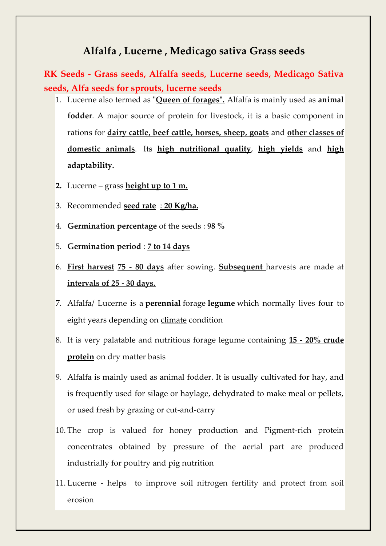## **Alfalfa , Lucerne , Medicago sativa Grass seeds**

**RK Seeds - Grass seeds, Alfalfa seeds, Lucerne seeds, Medicago Sativa seeds, Alfa seeds for sprouts, lucerne seeds**

- 1. Lucerne also termed as "**Queen of forages".** Alfalfa is mainly used as **animal fodder**. A major source of protein for livestock, it is a basic component in rations for **dairy cattle, beef cattle, horses, sheep, goats** and **other classes of domestic animals**. Its **high nutritional quality**, **high yields** and **high adaptability.**
- **2.** Lucerne grass **height up to 1 m.**
- 3. Recommended **seed rate** : **20 Kg/ha.**
- 4. **Germination percentage** of the seeds : **98 %**
- 5. **Germination period** : **7 to 14 days**
- 6. **First harvest 75 - 80 days** after sowing. **Subsequent** harvests are made at **intervals of 25 - 30 days.**
- 7. Alfalfa/ Lucerne is a **[perennial](https://en.wikipedia.org/wiki/Perennial)** forage **[legume](https://en.wikipedia.org/wiki/Legume)** which normally lives four to eight years depending on [climate](https://en.wikipedia.org/wiki/Climate) condition
- 8. It is very palatable and nutritious forage legume containing **15 - 20% crude protein** on dry matter basis
- 9. Alfalfa is mainly used as animal fodder. It is usually cultivated for hay, and is frequently used for silage or haylage, dehydrated to make meal or pellets, or used fresh by grazing or cut-and-carry
- 10. The crop is valued for honey production and Pigment-rich protein concentrates obtained by pressure of the aerial part are produced industrially for poultry and pig nutrition
- 11. Lucerne helps to improve soil nitrogen fertility and protect from soil erosion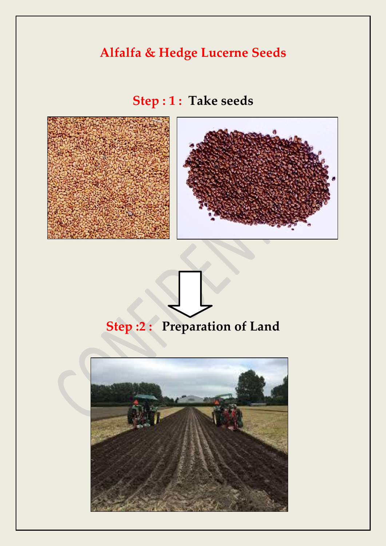## **Alfalfa & Hedge Lucerne Seeds**

**Step : 1 : Take seeds**







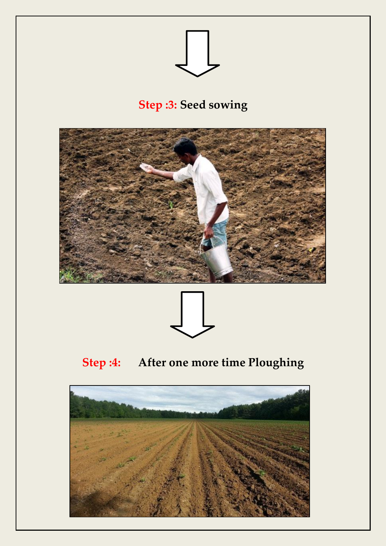